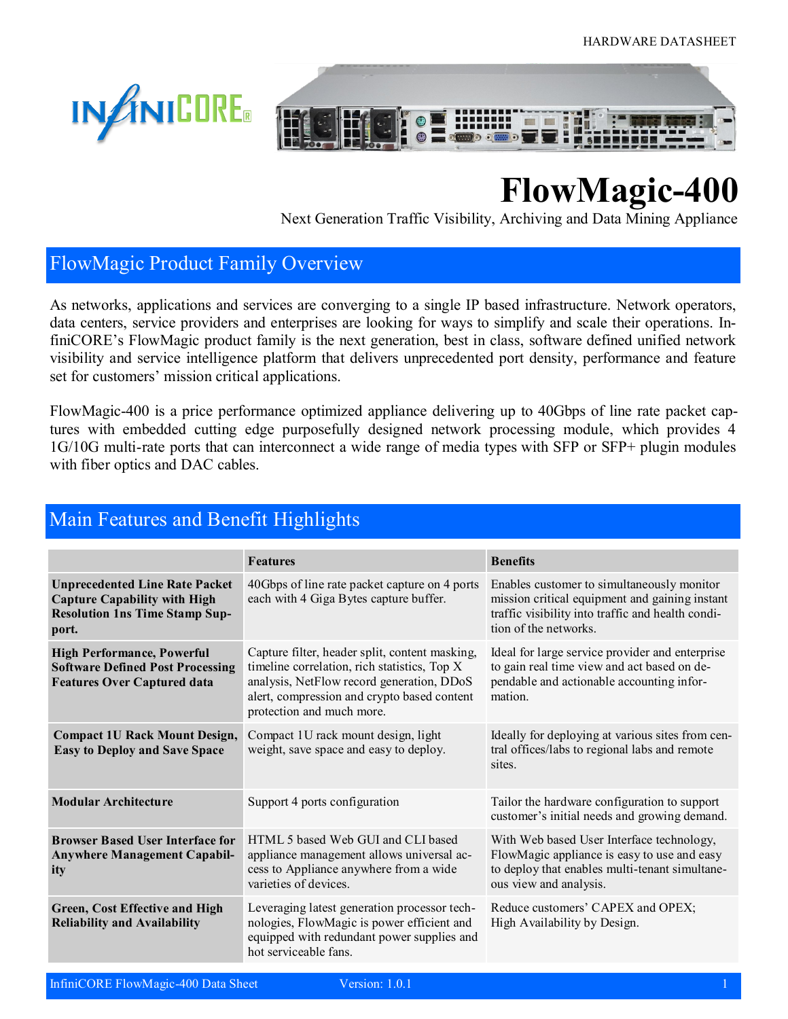



# **FlowMagic-400**

Next Generation Traffic Visibility, Archiving and Data Mining Appliance

### FlowMagic Product Family Overview

As networks, applications and services are converging to a single IP based infrastructure. Network operators, data centers, service providers and enterprises are looking for ways to simplify and scale their operations. InfiniCORE's FlowMagic product family is the next generation, best in class, software defined unified network visibility and service intelligence platform that delivers unprecedented port density, performance and feature set for customers' mission critical applications.

FlowMagic-400 is a price performance optimized appliance delivering up to 40Gbps of line rate packet captures with embedded cutting edge purposefully designed network processing module, which provides 4 1G/10G multi-rate ports that can interconnect a wide range of media types with SFP or SFP+ plugin modules with fiber optics and DAC cables.

| <u>Main I cattles and Denem Inginights</u>                                                                                     |                                                                                                                                                                                                                         |                                                                                                                                                                            |  |
|--------------------------------------------------------------------------------------------------------------------------------|-------------------------------------------------------------------------------------------------------------------------------------------------------------------------------------------------------------------------|----------------------------------------------------------------------------------------------------------------------------------------------------------------------------|--|
|                                                                                                                                | <b>Features</b>                                                                                                                                                                                                         | <b>Benefits</b>                                                                                                                                                            |  |
| <b>Unprecedented Line Rate Packet</b><br><b>Capture Capability with High</b><br><b>Resolution 1ns Time Stamp Sup-</b><br>port. | 40Gbps of line rate packet capture on 4 ports<br>each with 4 Giga Bytes capture buffer.                                                                                                                                 | Enables customer to simultaneously monitor<br>mission critical equipment and gaining instant<br>traffic visibility into traffic and health condi-<br>tion of the networks. |  |
| <b>High Performance, Powerful</b><br><b>Software Defined Post Processing</b><br><b>Features Over Captured data</b>             | Capture filter, header split, content masking,<br>timeline correlation, rich statistics, Top X<br>analysis, NetFlow record generation, DDoS<br>alert, compression and crypto based content<br>protection and much more. | Ideal for large service provider and enterprise<br>to gain real time view and act based on de-<br>pendable and actionable accounting infor-<br>mation.                     |  |
| <b>Compact 1U Rack Mount Design,</b><br><b>Easy to Deploy and Save Space</b>                                                   | Compact 1U rack mount design, light<br>weight, save space and easy to deploy.                                                                                                                                           | Ideally for deploying at various sites from cen-<br>tral offices/labs to regional labs and remote<br>sites.                                                                |  |
| <b>Modular Architecture</b>                                                                                                    | Support 4 ports configuration                                                                                                                                                                                           | Tailor the hardware configuration to support<br>customer's initial needs and growing demand.                                                                               |  |
| <b>Browser Based User Interface for</b><br><b>Anywhere Management Capabil-</b><br>ity                                          | HTML 5 based Web GUI and CLI based<br>appliance management allows universal ac-<br>cess to Appliance anywhere from a wide<br>varieties of devices.                                                                      | With Web based User Interface technology,<br>FlowMagic appliance is easy to use and easy<br>to deploy that enables multi-tenant simultane-<br>ous view and analysis.       |  |
| Green, Cost Effective and High<br><b>Reliability and Availability</b>                                                          | Leveraging latest generation processor tech-<br>nologies, FlowMagic is power efficient and<br>equipped with redundant power supplies and<br>hot serviceable fans.                                                       | Reduce customers' CAPEX and OPEX;<br>High Availability by Design.                                                                                                          |  |

### Main Features and Benefit Highlights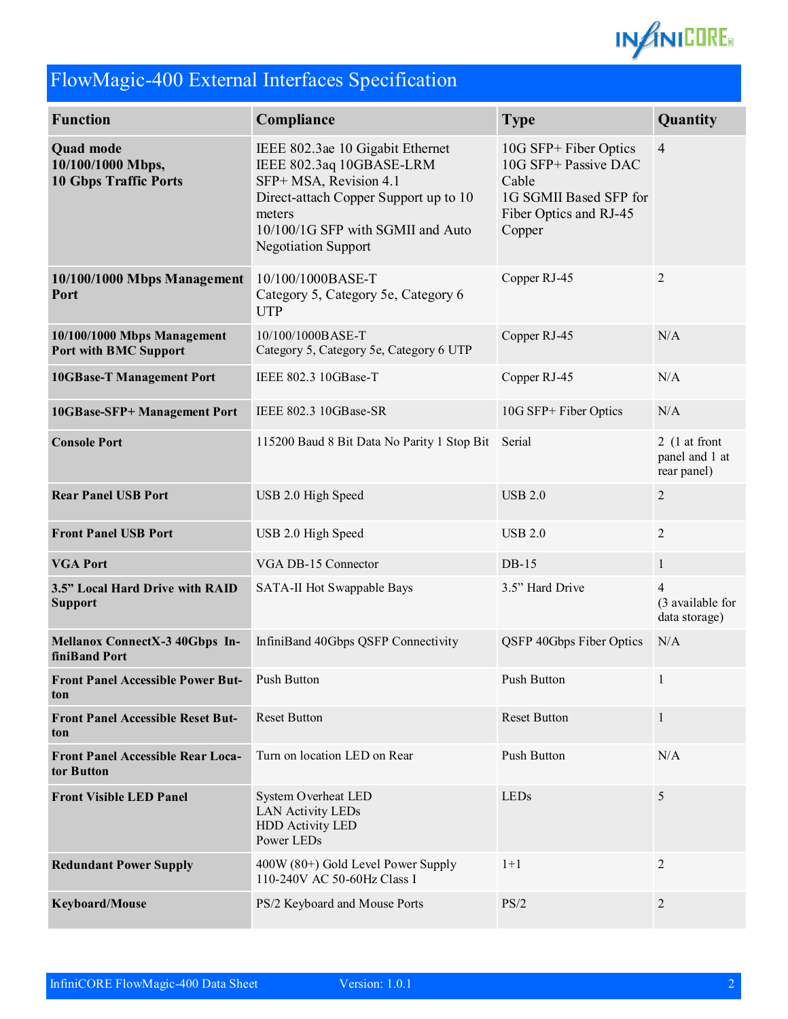

# FlowMagic-400 External Interfaces Specification

| <b>Function</b>                                                       | Compliance                                                                                                                                                                                                   | <b>Type</b>                                                                                                          | Quantity                                            |
|-----------------------------------------------------------------------|--------------------------------------------------------------------------------------------------------------------------------------------------------------------------------------------------------------|----------------------------------------------------------------------------------------------------------------------|-----------------------------------------------------|
| <b>Quad mode</b><br>10/100/1000 Mbps,<br><b>10 Gbps Traffic Ports</b> | IEEE 802.3ae 10 Gigabit Ethernet<br>IEEE 802.3aq 10GBASE-LRM<br>SFP+ MSA, Revision 4.1<br>Direct-attach Copper Support up to 10<br>meters<br>10/100/1G SFP with SGMII and Auto<br><b>Negotiation Support</b> | 10G SFP+ Fiber Optics<br>10G SFP+ Passive DAC<br>Cable<br>1G SGMII Based SFP for<br>Fiber Optics and RJ-45<br>Copper | $\overline{4}$                                      |
| 10/100/1000 Mbps Management<br>Port                                   | Copper RJ-45<br>10/100/1000BASE-T<br>Category 5, Category 5e, Category 6<br><b>UTP</b>                                                                                                                       |                                                                                                                      | $\overline{2}$                                      |
| 10/100/1000 Mbps Management<br><b>Port with BMC Support</b>           | 10/100/1000BASE-T<br>Copper RJ-45<br>Category 5, Category 5e, Category 6 UTP                                                                                                                                 |                                                                                                                      | N/A                                                 |
| <b>10GBase-T Management Port</b>                                      | IEEE 802.3 10GBase-T<br>Copper RJ-45                                                                                                                                                                         |                                                                                                                      | N/A                                                 |
| 10GBase-SFP+ Management Port                                          | IEEE 802.3 10GBase-SR<br>10G SFP+ Fiber Optics                                                                                                                                                               |                                                                                                                      | N/A                                                 |
| <b>Console Port</b>                                                   | 115200 Baud 8 Bit Data No Parity 1 Stop Bit Serial                                                                                                                                                           |                                                                                                                      | 2 $(1$ at front<br>panel and 1 at<br>rear panel)    |
| <b>Rear Panel USB Port</b>                                            | USB 2.0 High Speed                                                                                                                                                                                           | <b>USB 2.0</b>                                                                                                       | $\overline{2}$                                      |
| <b>Front Panel USB Port</b>                                           | USB 2.0 High Speed                                                                                                                                                                                           | <b>USB 2.0</b>                                                                                                       | $\overline{2}$                                      |
| <b>VGA Port</b>                                                       | VGA DB-15 Connector                                                                                                                                                                                          | $DB-15$                                                                                                              | $\mathbf{1}$                                        |
| 3.5" Local Hard Drive with RAID<br><b>Support</b>                     | 3.5" Hard Drive<br>SATA-II Hot Swappable Bays                                                                                                                                                                |                                                                                                                      | $\overline{4}$<br>(3 available for<br>data storage) |
| Mellanox ConnectX-3 40Gbps In-<br>finiBand Port                       | InfiniBand 40Gbps QSFP Connectivity                                                                                                                                                                          | QSFP 40Gbps Fiber Optics                                                                                             | N/A                                                 |
| Front Panel Accessible Power But- Push Button<br>ton                  |                                                                                                                                                                                                              | Push Button                                                                                                          | $\mathbf{1}$                                        |
| <b>Front Panel Accessible Reset But-</b><br>ton                       | <b>Reset Button</b><br><b>Reset Button</b>                                                                                                                                                                   |                                                                                                                      | $\mathbf{1}$                                        |
| <b>Front Panel Accessible Rear Loca-</b><br>tor Button                | Turn on location LED on Rear                                                                                                                                                                                 | Push Button                                                                                                          | N/A                                                 |
| <b>Front Visible LED Panel</b>                                        | System Overheat LED<br><b>LAN Activity LEDs</b><br><b>HDD Activity LED</b><br>Power LEDs                                                                                                                     | LEDs                                                                                                                 | $\sqrt{5}$                                          |
| <b>Redundant Power Supply</b>                                         | 400W (80+) Gold Level Power Supply<br>110-240V AC 50-60Hz Class I                                                                                                                                            | $1+1$                                                                                                                | $\overline{2}$                                      |
| Keyboard/Mouse                                                        | PS/2 Keyboard and Mouse Ports                                                                                                                                                                                | PS/2                                                                                                                 | $2\,$                                               |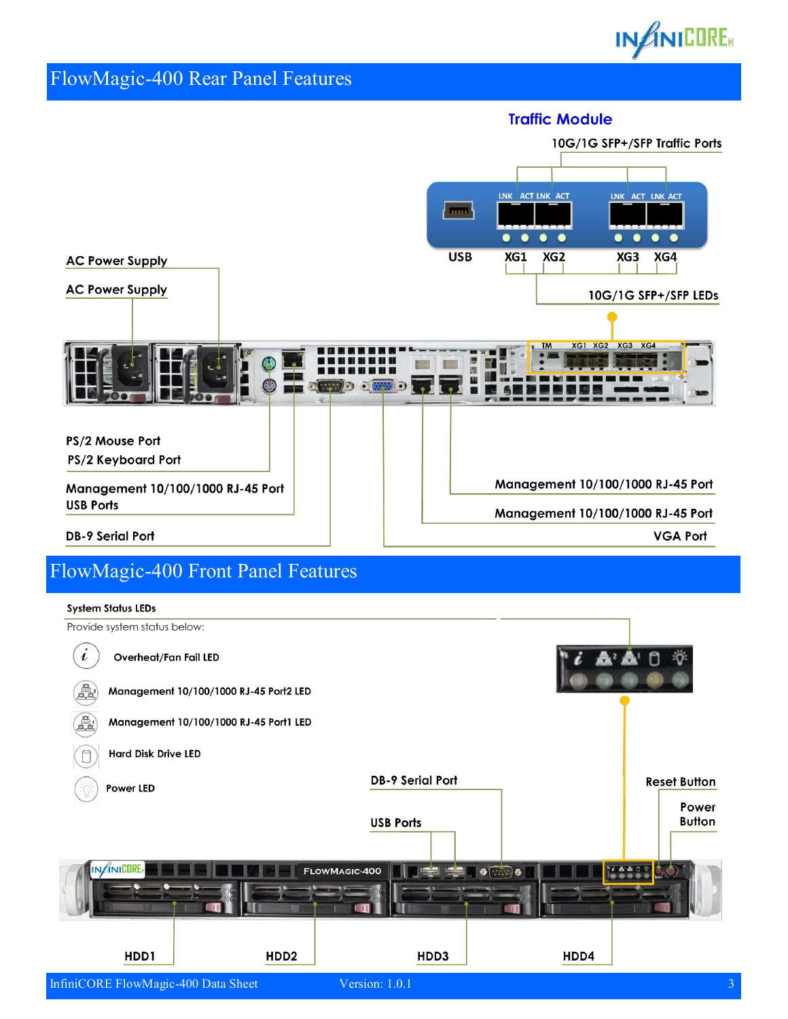

### FlowMagic-400 Rear Panel Features



### FlowMagic-400 Front Panel Features

#### **System Status LEDs**

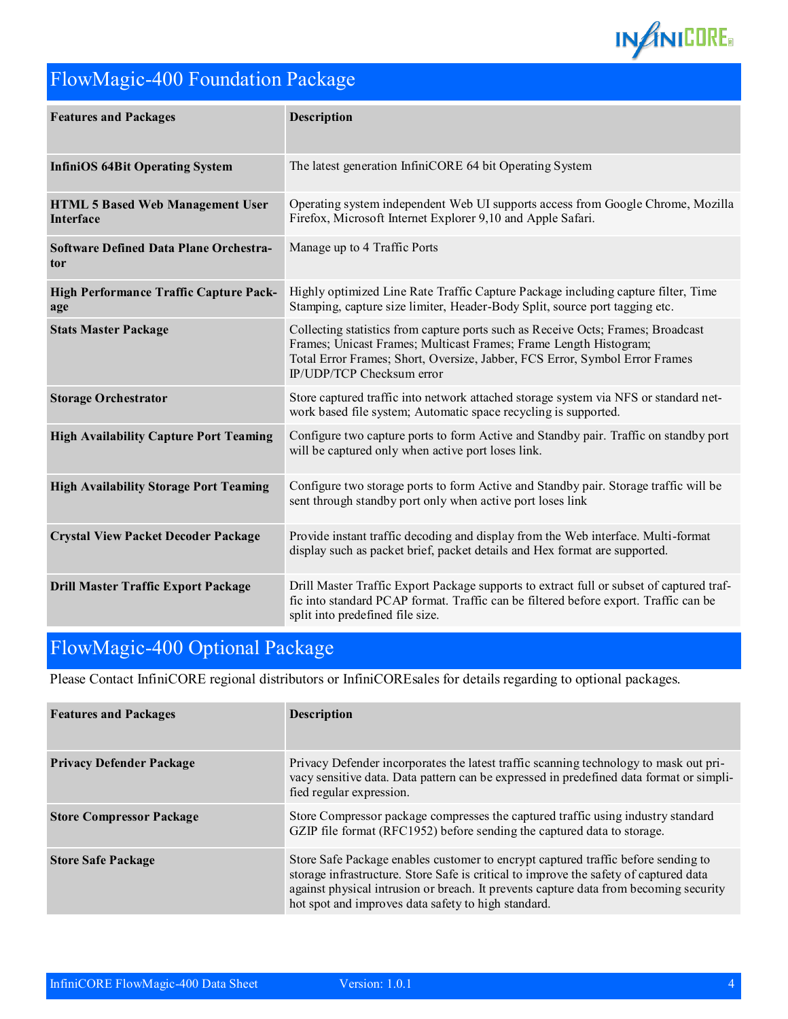

# FlowMagic-400 Foundation Package

| <b>Features and Packages</b>                         | <b>Description</b>                                                                                                                                                                                                                                                |
|------------------------------------------------------|-------------------------------------------------------------------------------------------------------------------------------------------------------------------------------------------------------------------------------------------------------------------|
| <b>InfiniOS 64Bit Operating System</b>               | The latest generation InfiniCORE 64 bit Operating System                                                                                                                                                                                                          |
| <b>HTML 5 Based Web Management User</b><br>Interface | Operating system independent Web UI supports access from Google Chrome, Mozilla<br>Firefox, Microsoft Internet Explorer 9,10 and Apple Safari.                                                                                                                    |
| <b>Software Defined Data Plane Orchestra-</b><br>tor | Manage up to 4 Traffic Ports                                                                                                                                                                                                                                      |
| High Performance Traffic Capture Pack-<br>age        | Highly optimized Line Rate Traffic Capture Package including capture filter, Time<br>Stamping, capture size limiter, Header-Body Split, source port tagging etc.                                                                                                  |
| <b>Stats Master Package</b>                          | Collecting statistics from capture ports such as Receive Octs; Frames; Broadcast<br>Frames; Unicast Frames; Multicast Frames; Frame Length Histogram;<br>Total Error Frames; Short, Oversize, Jabber, FCS Error, Symbol Error Frames<br>IP/UDP/TCP Checksum error |
| <b>Storage Orchestrator</b>                          | Store captured traffic into network attached storage system via NFS or standard net-<br>work based file system; Automatic space recycling is supported.                                                                                                           |
| <b>High Availability Capture Port Teaming</b>        | Configure two capture ports to form Active and Standby pair. Traffic on standby port<br>will be captured only when active port loses link.                                                                                                                        |
| <b>High Availability Storage Port Teaming</b>        | Configure two storage ports to form Active and Standby pair. Storage traffic will be<br>sent through standby port only when active port loses link                                                                                                                |
| <b>Crystal View Packet Decoder Package</b>           | Provide instant traffic decoding and display from the Web interface. Multi-format<br>display such as packet brief, packet details and Hex format are supported.                                                                                                   |
| <b>Drill Master Traffic Export Package</b>           | Drill Master Traffic Export Package supports to extract full or subset of captured traf-<br>fic into standard PCAP format. Traffic can be filtered before export. Traffic can be<br>split into predefined file size.                                              |

### FlowMagic-400 Optional Package

Please Contact InfiniCORE regional distributors or InfiniCOREsales for details regarding to optional packages.

| <b>Features and Packages</b>    | <b>Description</b>                                                                                                                                                                                                                                                                                                         |
|---------------------------------|----------------------------------------------------------------------------------------------------------------------------------------------------------------------------------------------------------------------------------------------------------------------------------------------------------------------------|
| <b>Privacy Defender Package</b> | Privacy Defender incorporates the latest traffic scanning technology to mask out pri-<br>vacy sensitive data. Data pattern can be expressed in predefined data format or simpli-<br>fied regular expression.                                                                                                               |
| <b>Store Compressor Package</b> | Store Compressor package compresses the captured traffic using industry standard<br>GZIP file format (RFC1952) before sending the captured data to storage.                                                                                                                                                                |
| <b>Store Safe Package</b>       | Store Safe Package enables customer to encrypt captured traffic before sending to<br>storage infrastructure. Store Safe is critical to improve the safety of captured data<br>against physical intrusion or breach. It prevents capture data from becoming security<br>hot spot and improves data safety to high standard. |